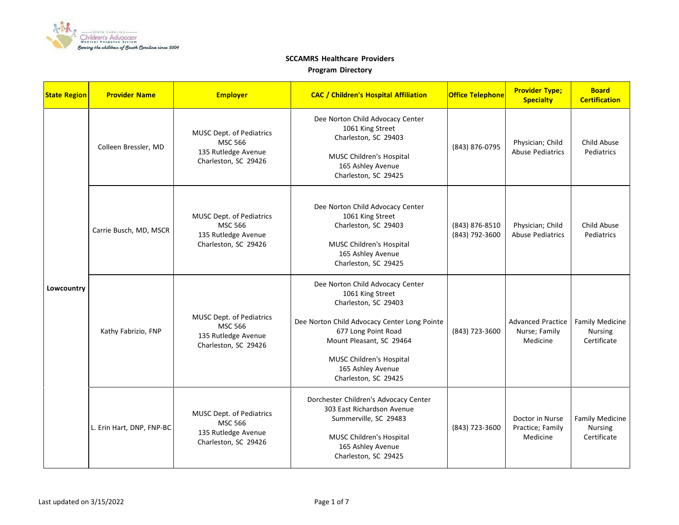

| <b>State Region</b> | <b>Provider Name</b>      | <b>Employer</b>                                                                           | <b>CAC / Children's Hospital Affiliation</b>                                                                                                                                                                                                             | <b>Office Telephone</b>          | <b>Provider Type;</b><br><b>Specialty</b>             | <b>Board</b><br><b>Certification</b>                    |
|---------------------|---------------------------|-------------------------------------------------------------------------------------------|----------------------------------------------------------------------------------------------------------------------------------------------------------------------------------------------------------------------------------------------------------|----------------------------------|-------------------------------------------------------|---------------------------------------------------------|
| Lowcountry          | Colleen Bressler, MD      | MUSC Dept. of Pediatrics<br><b>MSC 566</b><br>135 Rutledge Avenue<br>Charleston, SC 29426 | Dee Norton Child Advocacy Center<br>1061 King Street<br>Charleston, SC 29403<br>MUSC Children's Hospital<br>165 Ashley Avenue<br>Charleston, SC 29425                                                                                                    | (843) 876-0795                   | Physician; Child<br><b>Abuse Pediatrics</b>           | Child Abuse<br>Pediatrics                               |
|                     | Carrie Busch, MD, MSCR    | MUSC Dept. of Pediatrics<br><b>MSC 566</b><br>135 Rutledge Avenue<br>Charleston, SC 29426 | Dee Norton Child Advocacy Center<br>1061 King Street<br>Charleston, SC 29403<br>MUSC Children's Hospital<br>165 Ashley Avenue<br>Charleston, SC 29425                                                                                                    | (843) 876-8510<br>(843) 792-3600 | Physician; Child<br><b>Abuse Pediatrics</b>           | Child Abuse<br>Pediatrics                               |
|                     | Kathy Fabrizio, FNP       | MUSC Dept. of Pediatrics<br><b>MSC 566</b><br>135 Rutledge Avenue<br>Charleston, SC 29426 | Dee Norton Child Advocacy Center<br>1061 King Street<br>Charleston, SC 29403<br>Dee Norton Child Advocacy Center Long Pointe<br>677 Long Point Road<br>Mount Pleasant, SC 29464<br>MUSC Children's Hospital<br>165 Ashley Avenue<br>Charleston, SC 29425 | (843) 723-3600                   | <b>Advanced Practice</b><br>Nurse; Family<br>Medicine | <b>Family Medicine</b><br><b>Nursing</b><br>Certificate |
|                     | L. Erin Hart, DNP, FNP-BC | MUSC Dept. of Pediatrics<br><b>MSC 566</b><br>135 Rutledge Avenue<br>Charleston, SC 29426 | Dorchester Children's Advocacy Center<br>303 East Richardson Avenue<br>Summerville, SC 29483<br><b>MUSC Children's Hospital</b><br>165 Ashley Avenue<br>Charleston, SC 29425                                                                             | (843) 723-3600                   | Doctor in Nurse<br>Practice; Family<br>Medicine       | <b>Family Medicine</b><br><b>Nursing</b><br>Certificate |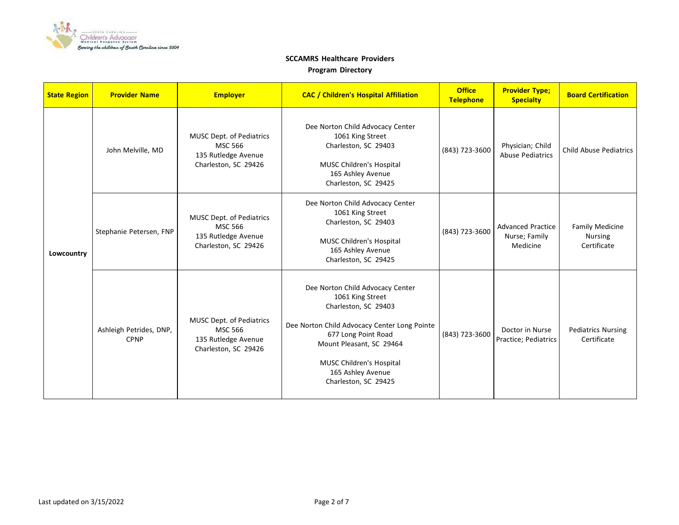

| <b>State Region</b> | <b>Provider Name</b>                   | <b>Employer</b>                                                                                  | <b>CAC / Children's Hospital Affiliation</b>                                                                                                                                                                                                             | <b>Office</b><br><b>Telephone</b> | <b>Provider Type;</b><br><b>Specialty</b>             | <b>Board Certification</b>                              |
|---------------------|----------------------------------------|--------------------------------------------------------------------------------------------------|----------------------------------------------------------------------------------------------------------------------------------------------------------------------------------------------------------------------------------------------------------|-----------------------------------|-------------------------------------------------------|---------------------------------------------------------|
| Lowcountry          | John Melville, MD                      | <b>MUSC Dept. of Pediatrics</b><br><b>MSC 566</b><br>135 Rutledge Avenue<br>Charleston, SC 29426 | Dee Norton Child Advocacy Center<br>1061 King Street<br>Charleston, SC 29403<br>MUSC Children's Hospital<br>165 Ashley Avenue<br>Charleston, SC 29425                                                                                                    | (843) 723-3600                    | Physician; Child<br><b>Abuse Pediatrics</b>           | <b>Child Abuse Pediatrics</b>                           |
|                     | Stephanie Petersen, FNP                | MUSC Dept. of Pediatrics<br><b>MSC 566</b><br>135 Rutledge Avenue<br>Charleston, SC 29426        | Dee Norton Child Advocacy Center<br>1061 King Street<br>Charleston, SC 29403<br><b>MUSC Children's Hospital</b><br>165 Ashley Avenue<br>Charleston, SC 29425                                                                                             | (843) 723-3600                    | <b>Advanced Practice</b><br>Nurse; Family<br>Medicine | <b>Family Medicine</b><br><b>Nursing</b><br>Certificate |
|                     | Ashleigh Petrides, DNP,<br><b>CPNP</b> | <b>MUSC Dept. of Pediatrics</b><br><b>MSC 566</b><br>135 Rutledge Avenue<br>Charleston, SC 29426 | Dee Norton Child Advocacy Center<br>1061 King Street<br>Charleston, SC 29403<br>Dee Norton Child Advocacy Center Long Pointe<br>677 Long Point Road<br>Mount Pleasant, SC 29464<br>MUSC Children's Hospital<br>165 Ashley Avenue<br>Charleston, SC 29425 | (843) 723-3600                    | Doctor in Nurse<br>Practice; Pediatrics               | <b>Pediatrics Nursing</b><br>Certificate                |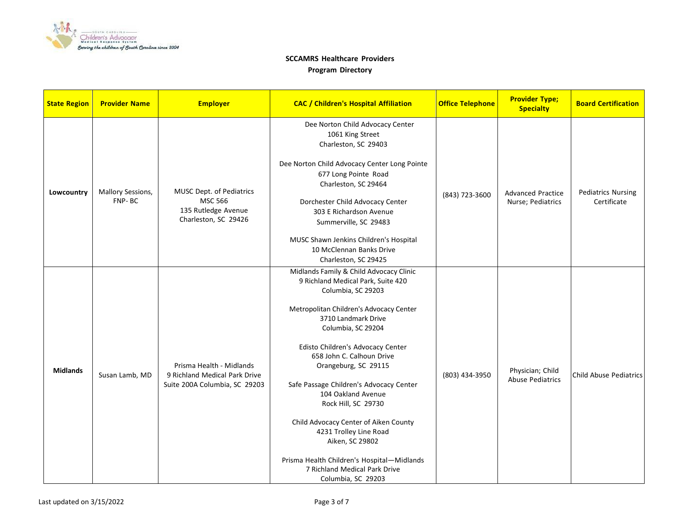

| <b>State Region</b> | <b>Provider Name</b>        | <b>Employer</b>                                                                            | <b>CAC / Children's Hospital Affiliation</b>                                                                                                                                                                                                                                                                                                                                                                                                                                                                                                                             | <b>Office Telephone</b> | <b>Provider Type;</b><br><b>Specialty</b>     | <b>Board Certification</b>               |
|---------------------|-----------------------------|--------------------------------------------------------------------------------------------|--------------------------------------------------------------------------------------------------------------------------------------------------------------------------------------------------------------------------------------------------------------------------------------------------------------------------------------------------------------------------------------------------------------------------------------------------------------------------------------------------------------------------------------------------------------------------|-------------------------|-----------------------------------------------|------------------------------------------|
| Lowcountry          | Mallory Sessions,<br>FNP-BC | MUSC Dept. of Pediatrics<br><b>MSC 566</b><br>135 Rutledge Avenue<br>Charleston, SC 29426  | Dee Norton Child Advocacy Center<br>1061 King Street<br>Charleston, SC 29403<br>Dee Norton Child Advocacy Center Long Pointe<br>677 Long Pointe Road<br>Charleston, SC 29464<br>Dorchester Child Advocacy Center<br>303 E Richardson Avenue<br>Summerville, SC 29483<br>MUSC Shawn Jenkins Children's Hospital<br>10 McClennan Banks Drive<br>Charleston, SC 29425                                                                                                                                                                                                       | (843) 723-3600          | <b>Advanced Practice</b><br>Nurse; Pediatrics | <b>Pediatrics Nursing</b><br>Certificate |
| <b>Midlands</b>     | Susan Lamb, MD              | Prisma Health - Midlands<br>9 Richland Medical Park Drive<br>Suite 200A Columbia, SC 29203 | Midlands Family & Child Advocacy Clinic<br>9 Richland Medical Park, Suite 420<br>Columbia, SC 29203<br>Metropolitan Children's Advocacy Center<br>3710 Landmark Drive<br>Columbia, SC 29204<br>Edisto Children's Advocacy Center<br>658 John C. Calhoun Drive<br>Orangeburg, SC 29115<br>Safe Passage Children's Advocacy Center<br>104 Oakland Avenue<br>Rock Hill, SC 29730<br>Child Advocacy Center of Aiken County<br>4231 Trolley Line Road<br>Aiken, SC 29802<br>Prisma Health Children's Hospital-Midlands<br>7 Richland Medical Park Drive<br>Columbia, SC 29203 | (803) 434-3950          | Physician; Child<br><b>Abuse Pediatrics</b>   | <b>Child Abuse Pediatrics</b>            |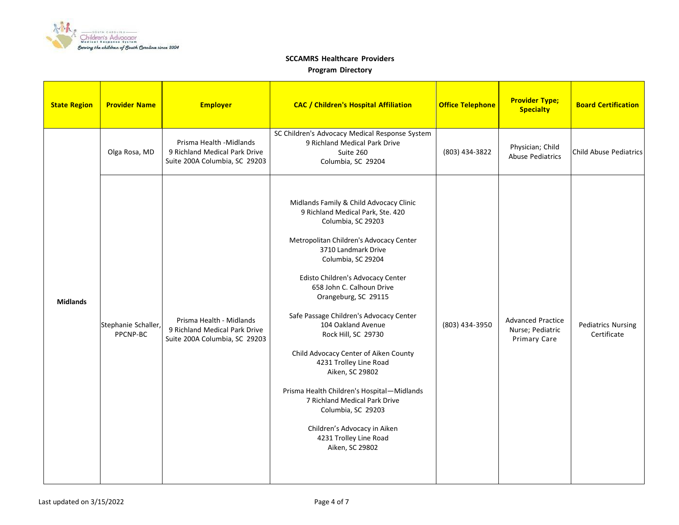

| <b>State Region</b> | <b>Provider Name</b>            | <b>Employer</b>                                                                            | <b>CAC / Children's Hospital Affiliation</b>                                                                                                                                                                                                                                                                                                                                                                                                                                                                                                                                                                                                         | <b>Office Telephone</b> | <b>Provider Type;</b><br><b>Specialty</b>                           | <b>Board Certification</b>               |
|---------------------|---------------------------------|--------------------------------------------------------------------------------------------|------------------------------------------------------------------------------------------------------------------------------------------------------------------------------------------------------------------------------------------------------------------------------------------------------------------------------------------------------------------------------------------------------------------------------------------------------------------------------------------------------------------------------------------------------------------------------------------------------------------------------------------------------|-------------------------|---------------------------------------------------------------------|------------------------------------------|
|                     | Olga Rosa, MD                   | Prisma Health -Midlands<br>9 Richland Medical Park Drive<br>Suite 200A Columbia, SC 29203  | SC Children's Advocacy Medical Response System<br>9 Richland Medical Park Drive<br>Suite 260<br>Columbia, SC 29204                                                                                                                                                                                                                                                                                                                                                                                                                                                                                                                                   | (803) 434-3822          | Physician; Child<br><b>Abuse Pediatrics</b>                         | <b>Child Abuse Pediatrics</b>            |
| <b>Midlands</b>     | Stephanie Schaller,<br>PPCNP-BC | Prisma Health - Midlands<br>9 Richland Medical Park Drive<br>Suite 200A Columbia, SC 29203 | Midlands Family & Child Advocacy Clinic<br>9 Richland Medical Park, Ste. 420<br>Columbia, SC 29203<br>Metropolitan Children's Advocacy Center<br>3710 Landmark Drive<br>Columbia, SC 29204<br>Edisto Children's Advocacy Center<br>658 John C. Calhoun Drive<br>Orangeburg, SC 29115<br>Safe Passage Children's Advocacy Center<br>104 Oakland Avenue<br>Rock Hill, SC 29730<br>Child Advocacy Center of Aiken County<br>4231 Trolley Line Road<br>Aiken, SC 29802<br>Prisma Health Children's Hospital-Midlands<br>7 Richland Medical Park Drive<br>Columbia, SC 29203<br>Children's Advocacy in Aiken<br>4231 Trolley Line Road<br>Aiken, SC 29802 | (803) 434-3950          | <b>Advanced Practice</b><br>Nurse; Pediatric<br><b>Primary Care</b> | <b>Pediatrics Nursing</b><br>Certificate |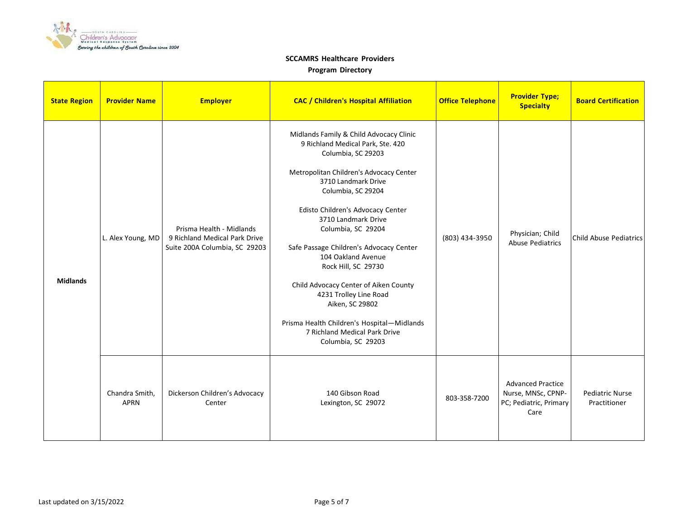

| <b>State Region</b> | <b>Provider Name</b>          | <b>Employer</b>                                                                            | <b>CAC / Children's Hospital Affiliation</b>                                                                                                                                                                                                                                                                                                                                                                                                                                                                                                                    | <b>Office Telephone</b> | <b>Provider Type;</b><br><b>Specialty</b>                                        | <b>Board Certification</b>             |
|---------------------|-------------------------------|--------------------------------------------------------------------------------------------|-----------------------------------------------------------------------------------------------------------------------------------------------------------------------------------------------------------------------------------------------------------------------------------------------------------------------------------------------------------------------------------------------------------------------------------------------------------------------------------------------------------------------------------------------------------------|-------------------------|----------------------------------------------------------------------------------|----------------------------------------|
| <b>Midlands</b>     | L. Alex Young, MD             | Prisma Health - Midlands<br>9 Richland Medical Park Drive<br>Suite 200A Columbia, SC 29203 | Midlands Family & Child Advocacy Clinic<br>9 Richland Medical Park, Ste. 420<br>Columbia, SC 29203<br>Metropolitan Children's Advocacy Center<br>3710 Landmark Drive<br>Columbia, SC 29204<br>Edisto Children's Advocacy Center<br>3710 Landmark Drive<br>Columbia, SC 29204<br>Safe Passage Children's Advocacy Center<br>104 Oakland Avenue<br>Rock Hill, SC 29730<br>Child Advocacy Center of Aiken County<br>4231 Trolley Line Road<br>Aiken, SC 29802<br>Prisma Health Children's Hospital-Midlands<br>7 Richland Medical Park Drive<br>Columbia, SC 29203 | (803) 434-3950          | Physician; Child<br><b>Abuse Pediatrics</b>                                      | <b>Child Abuse Pediatrics</b>          |
|                     | Chandra Smith,<br><b>APRN</b> | Dickerson Children's Advocacy<br>Center                                                    | 140 Gibson Road<br>Lexington, SC 29072                                                                                                                                                                                                                                                                                                                                                                                                                                                                                                                          | 803-358-7200            | <b>Advanced Practice</b><br>Nurse, MNSc, CPNP-<br>PC; Pediatric, Primary<br>Care | <b>Pediatric Nurse</b><br>Practitioner |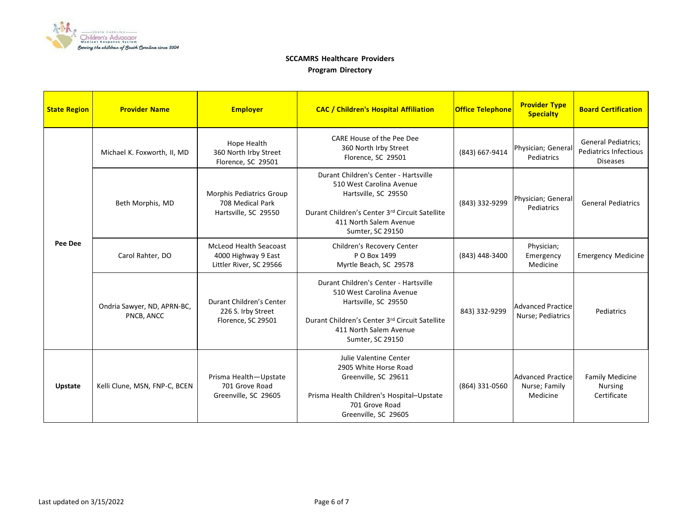

| <b>State Region</b> | <b>Provider Name</b>                      | <b>Employer</b>                                                                 | <b>CAC / Children's Hospital Affiliation</b>                                                                                                                                              | <b>Office Telephone</b> | <b>Provider Type</b><br><b>Specialty</b>              | <b>Board Certification</b>                                                    |
|---------------------|-------------------------------------------|---------------------------------------------------------------------------------|-------------------------------------------------------------------------------------------------------------------------------------------------------------------------------------------|-------------------------|-------------------------------------------------------|-------------------------------------------------------------------------------|
| Pee Dee             | Michael K. Foxworth, II, MD               | Hope Health<br>360 North Irby Street<br>Florence, SC 29501                      | CARE House of the Pee Dee<br>360 North Irby Street<br>Florence, SC 29501                                                                                                                  | (843) 667-9414          | Physician; General<br>Pediatrics                      | <b>General Pediatrics;</b><br><b>Pediatrics Infectious</b><br><b>Diseases</b> |
|                     | Beth Morphis, MD                          | Morphis Pediatrics Group<br>708 Medical Park<br>Hartsville, SC 29550            | Durant Children's Center - Hartsville<br>510 West Carolina Avenue<br>Hartsville, SC 29550<br>Durant Children's Center 3rd Circuit Satellite<br>411 North Salem Avenue<br>Sumter, SC 29150 | (843) 332-9299          | Physician; General<br>Pediatrics                      | <b>General Pediatrics</b>                                                     |
|                     | Carol Rahter, DO                          | <b>McLeod Health Seacoast</b><br>4000 Highway 9 East<br>Littler River, SC 29566 | Children's Recovery Center<br>P O Box 1499<br>Myrtle Beach, SC 29578                                                                                                                      | (843) 448-3400          | Physician;<br>Emergency<br>Medicine                   | <b>Emergency Medicine</b>                                                     |
|                     | Ondria Sawyer, ND, APRN-BC,<br>PNCB, ANCC | Durant Children's Center<br>226 S. Irby Street<br>Florence, SC 29501            | Durant Children's Center - Hartsville<br>510 West Carolina Avenue<br>Hartsville, SC 29550<br>Durant Children's Center 3rd Circuit Satellite<br>411 North Salem Avenue<br>Sumter, SC 29150 | 843) 332-9299           | <b>Advanced Practice</b><br>Nurse; Pediatrics         | Pediatrics                                                                    |
| <b>Upstate</b>      | Kelli Clune, MSN, FNP-C, BCEN             | Prisma Health-Upstate<br>701 Grove Road<br>Greenville, SC 29605                 | Julie Valentine Center<br>2905 White Horse Road<br>Greenville, SC 29611<br>Prisma Health Children's Hospital-Upstate<br>701 Grove Road<br>Greenville, SC 29605                            | (864) 331-0560          | <b>Advanced Practice</b><br>Nurse; Family<br>Medicine | <b>Family Medicine</b><br><b>Nursing</b><br>Certificate                       |